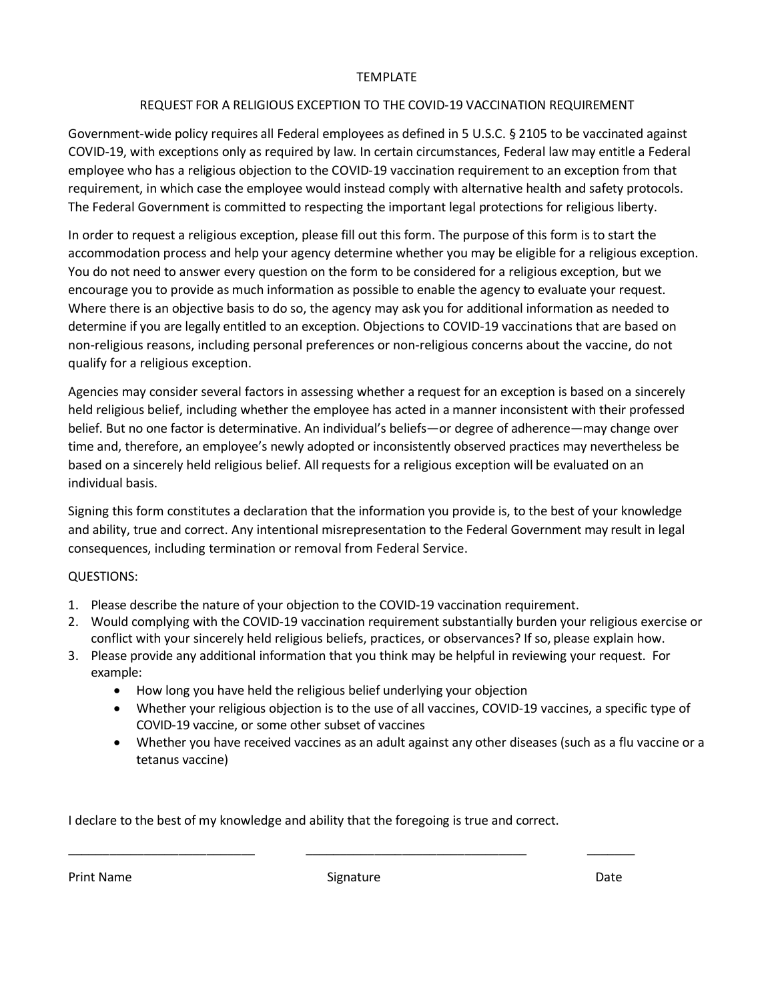## TEMPLATE

## REQUEST FOR A RELIGIOUS EXCEPTION TO THE COVID-19 VACCINATION REQUIREMENT

 COVID-19, with exceptions only as required by law. In certain circumstances, Federal law may entitle a Federal Government-wide policy requires all Federal employees as defined in 5 U.S.C. § 2105 to be vaccinated against employee who has a religious objection to the COVID-19 vaccination requirement to an exception from that requirement, in which case the employee would instead comply with alternative health and safety protocols. The Federal Government is committed to respecting the important legal protections for religious liberty.

 determine if you are legally entitled to an exception. Objections to COVID-19 vaccinations that are based on In order to request a religious exception, please fill out this form. The purpose of this form is to start the accommodation process and help your agency determine whether you may be eligible for a religious exception. You do not need to answer every question on the form to be considered for a religious exception, but we encourage you to provide as much information as possible to enable the agency to evaluate your request. Where there is an objective basis to do so, the agency may ask you for additional information as needed to non-religious reasons, including personal preferences or non-religious concerns about the vaccine, do not qualify for a religious exception.

Agencies may consider several factors in assessing whether a request for an exception is based on a sincerely held religious belief, including whether the employee has acted in a manner inconsistent with their professed belief. But no one factor is determinative. An individual's beliefs—or degree of adherence—may change over time and, therefore, an employee's newly adopted or inconsistently observed practices may nevertheless be based on a sincerely held religious belief. All requests for a religious exception will be evaluated on an individual basis.

 Signing this form constitutes a declaration that the information you provide is, to the best of your knowledge consequences, including termination or removal from Federal Service. and ability, true and correct. Any intentional misrepresentation to the Federal Government may result in legal

## QUESTIONS:

- 1. Please describe the nature of your objection to the COVID-19 vaccination requirement.
- 2. Would complying with the COVID-19 vaccination requirement substantially burden your religious exercise or conflict with your sincerely held religious beliefs, practices, or observances? If so, please explain how.
- 3. Please provide any additional information that you think may be helpful in reviewing your request. For example:
	- How long you have held the religious belief underlying your objection
	- Whether your religious objection is to the use of all vaccines, COVID-19 vaccines, a specific type of COVID-19 vaccine, or some other subset of vaccines
	- • Whether you have received vaccines as an adult against any other diseases (such as a flu vaccine or a tetanus vaccine)

I declare to the best of my knowledge and ability that the foregoing is true and correct.

\_\_\_\_\_\_\_\_\_\_\_\_\_\_\_\_\_\_\_\_\_\_\_\_\_\_\_ \_\_\_\_\_\_\_\_\_\_\_\_\_\_\_\_\_\_\_\_\_\_\_\_\_\_\_\_\_\_\_\_

Print Name Signature

**Signature Construction Date** 

 $\frac{1}{2}$